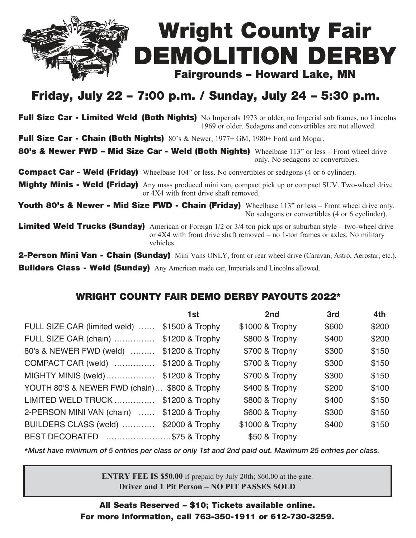

## Friday, July 22 – 7:00 p.m. / Sunday, July 24 – 5:30 p.m.

Full Size Car - Limited Weld (Both Nights) No Imperials 1973 or older, no Imperial sub frames, no Lincolns 1969 or older. Sedagons and convertibles are not allowed.

Full Size Car - Chain (Both Nights)  $80^\circ s$  & Newer,  $1977+$  GM,  $1980+$  Ford and Mopar.

80's & Newer FWD – Mid Size Car - Weld (Both Nights) Wheelbase 113" or less – Front wheel drive only. No sedagons or convertibles.

**Compact Car - Weld (Friday)** Wheelbase 104" or less. No convertibles or sedagons (4 or 6 cylinder).

Mighty Minis - Weld (Friday) Any mass produced mini van, compact pick up or compact SUV. Two-wheel drive or 4X4 with front drive shaft removed.

Youth 80's & Newer - Mid Size FWD - Chain (Friday) Wheelbase 113" or less – Front wheel drive only. No sedagons or convertibles (4 or 6 cyclinder).

**Limited Weld Trucks (Sunday)** American or Foreign  $1/2$  or  $3/4$  ton pick ups or suburban style – two-wheel drive or 4X4 with front drive shaft removed – no 1-ton frames or axles. No military vehicles.

**2-Person Mini Van - Chain (Sunday)** Mini Vans ONLY, front or rear wheel drive (Caravan, Astro, Aerostar, etc.). Builders Class - Weld (Sunday) Any American made car, Imperials and Lincolns allowed.

## WRIGHT COUNTY FAIR DEMO DERBY PAYOUTS 2022\*

|                                               | 1st             | 2nd             | 3rd   | 4th   |
|-----------------------------------------------|-----------------|-----------------|-------|-------|
| FULL SIZE CAR (limited weld)                  | \$1500 & Trophy | \$1000 & Trophy | \$600 | \$200 |
| FULL SIZE CAR (chain)                         | \$1200 & Trophy | \$800 & Trophy  | \$400 | \$200 |
| 80's & NEWER FWD (weld)                       | \$1200 & Trophy | \$700 & Trophy  | \$300 | \$150 |
| COMPACT CAR (weld)                            | \$1200 & Trophy | \$700 & Trophy  | \$300 | \$150 |
| MIGHTY MINIS (weld)                           | \$1200 & Trophy | \$700 & Trophy  | \$300 | \$150 |
| YOUTH 80'S & NEWER FWD (chain) \$800 & Trophy |                 | \$400 & Trophy  | \$200 | \$100 |
| LIMITED WELD TRUCK                            | \$1200 & Trophy | \$800 & Trophy  | \$400 | \$150 |
| 2-PERSON MINI VAN (chain)  \$1200 & Trophy    |                 | \$600 & Trophy  | \$300 | \$150 |
| BUILDERS CLASS (weld)                         | \$2000 & Trophy | \$1000 & Trophy | \$400 | \$150 |
| BEST DECORATED \$75 & Trophy                  |                 | \$50 & Trophy   |       |       |

\*Must have minimum of 5 entries per class or only 1st and 2nd paid out. Maximum 25 entries per class.

**ENTRY FEE IS \$50.00** if prepaid by July 20th; \$60.00 at the gate. **Driver and 1 Pit Person – NO PIT PASSES SOLD**

All Seats Reserved – \$10; Tickets available online. For more information, call 763-350-1911 or 612-730-3259.